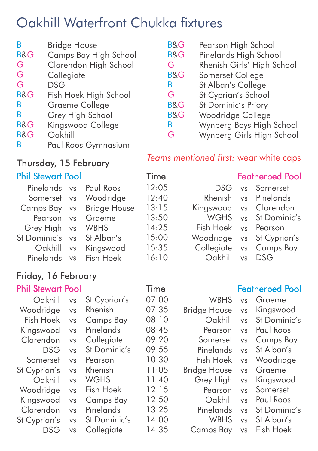# Oakhill Waterfront Chukka fixtures

| B              | Bridge House          |
|----------------|-----------------------|
| <b>B&amp;G</b> | Camps Bay High School |
| G              | Clarendon High School |
| G              | Collegiate            |
| G              | DSG                   |
| <b>B&amp;G</b> | Fish Hoek High School |
| B              | Graeme College        |
| R              | Grey High School      |
| <b>B&amp;G</b> | Kingswood College     |
| <b>B&amp;G</b> | Oakhill               |
| R              | Paul Roos Gymnasium   |

## Thursday, 15 February

### Phil Stewart Pool **Time** Featherbed Pool

| 12:05 |
|-------|
| 12:40 |
| 13:15 |
| 13:50 |
| 14:25 |
| 15:00 |
| 15:35 |
| 16:10 |
|       |

### Friday, 16 February

| Oakhill      | VS        | St Cyprian's     | 07:00 |
|--------------|-----------|------------------|-------|
| Woodridge    | VS        | Rhenish          | 07:35 |
| Fish Hoek    | VS        | <b>Camps Bay</b> | 08:10 |
| Kingswood    | VS        | Pinelands        | 08:45 |
| Clarendon    | <b>VS</b> | Collegiate       | 09:20 |
| <b>DSG</b>   | VS        | St Dominic's     | 09:55 |
| Somerset     | VS        | Pearson          | 10:30 |
| St Cyprian's | VS        | Rhenish          | 11:05 |
| Oakhill      | VS        | <b>WGHS</b>      | 11:40 |
| Woodridge    | VS        | Fish Hoek        | 12:15 |
| Kingswood    | <b>VS</b> | <b>Camps Bay</b> | 12:50 |
| Clarendon    | VS        | Pinelands        | 13:25 |
| St Cyprian's | VS        | St Dominic's     | 14:00 |
| DSG          | VS        | Collegiate       | 14:35 |
|              |           |                  |       |

| <b>B&amp;G</b> | Pearson High School |  |  |
|----------------|---------------------|--|--|
|----------------|---------------------|--|--|

- B&G Pinelands High School
- G Rhenish Girls' High School
- B&G Somerset College
- B St Alban's College
- G St Cyprian's School
- B&G St Dominic's Priory
- B&G Woodridge College
- B Wynberg Boys High School
- G Wynberg Girls High School

### *Teams mentioned first:* wear white caps

vs vs vs vs vs vs vs vs DSG Rhenish Kingswood **WGHS** Fish Hoek Woodridge **Collegiate** Oakhill Somerset Pinelands Clarendon St Dominic's Pearson St Cyprian's Camps Bay DSG

### Phil Stewart Pool **Time** Featherbed Pool

**WBHS** Bridge House Oakhill Pearson Somerset Pinelands Fish Hoek Bridge House Grey High Pearson Oakhill **Pinelands** WBHS Camps Bay Graeme Kingswood St Dominic's Paul Roos Camps Bay St Alban's Woodridge Graeme Kingswood Somerset Paul Roos St Dominic's St Alban's Fish Hoek vs vs vs vs vs vs vs vs vs vs vs vs vs vs